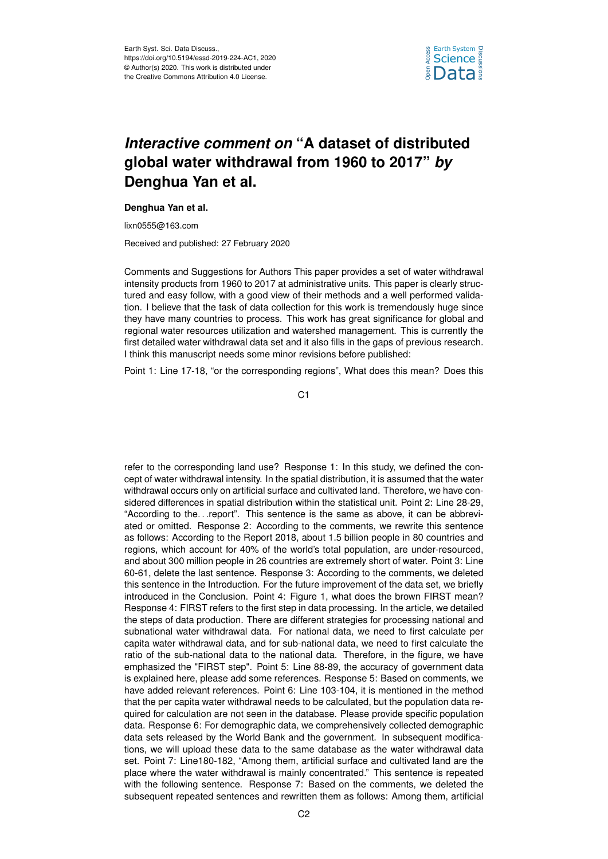

## *Interactive comment on* **"A dataset of distributed global water withdrawal from 1960 to 2017"** *by* **Denghua Yan et al.**

## **Denghua Yan et al.**

lixn0555@163.com

Received and published: 27 February 2020

Comments and Suggestions for Authors This paper provides a set of water withdrawal intensity products from 1960 to 2017 at administrative units. This paper is clearly structured and easy follow, with a good view of their methods and a well performed validation. I believe that the task of data collection for this work is tremendously huge since they have many countries to process. This work has great significance for global and regional water resources utilization and watershed management. This is currently the first detailed water withdrawal data set and it also fills in the gaps of previous research. I think this manuscript needs some minor revisions before published:

Point 1: Line 17-18, "or the corresponding regions", What does this mean? Does this

C<sub>1</sub>

refer to the corresponding land use? Response 1: In this study, we defined the concept of water withdrawal intensity. In the spatial distribution, it is assumed that the water withdrawal occurs only on artificial surface and cultivated land. Therefore, we have considered differences in spatial distribution within the statistical unit. Point 2: Line 28-29, "According to the. . .report". This sentence is the same as above, it can be abbreviated or omitted. Response 2: According to the comments, we rewrite this sentence as follows: According to the Report 2018, about 1.5 billion people in 80 countries and regions, which account for 40% of the world's total population, are under-resourced, and about 300 million people in 26 countries are extremely short of water. Point 3: Line 60-61, delete the last sentence. Response 3: According to the comments, we deleted this sentence in the Introduction. For the future improvement of the data set, we briefly introduced in the Conclusion. Point 4: Figure 1, what does the brown FIRST mean? Response 4: FIRST refers to the first step in data processing. In the article, we detailed the steps of data production. There are different strategies for processing national and subnational water withdrawal data. For national data, we need to first calculate per capita water withdrawal data, and for sub-national data, we need to first calculate the ratio of the sub-national data to the national data. Therefore, in the figure, we have emphasized the "FIRST step". Point 5: Line 88-89, the accuracy of government data is explained here, please add some references. Response 5: Based on comments, we have added relevant references. Point 6: Line 103-104, it is mentioned in the method that the per capita water withdrawal needs to be calculated, but the population data required for calculation are not seen in the database. Please provide specific population data. Response 6: For demographic data, we comprehensively collected demographic data sets released by the World Bank and the government. In subsequent modifications, we will upload these data to the same database as the water withdrawal data set. Point 7: Line180-182, "Among them, artificial surface and cultivated land are the place where the water withdrawal is mainly concentrated." This sentence is repeated with the following sentence. Response 7: Based on the comments, we deleted the subsequent repeated sentences and rewritten them as follows: Among them, artificial